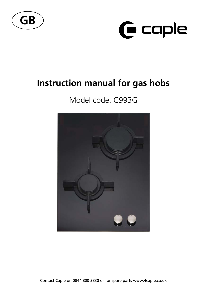



# **Instruction manual for gas hobs**

# Model code: C993G



Contact Caple on 0844 800 3830 or for spare parts www.4caple.co.uk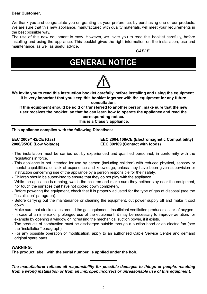#### **Dear Customer,**

We thank you and congratulate you on granting us your preference, by purchasing one of our products. We are sure that this new appliance, manufactured with quality materials, will meet your requirements in the best possible way.

The use of this new equipment is easy. However, we invite you to read this booklet carefully, before installing and using the appliance. This booklet gives the right information on the installation, use and maintenance, as well as useful advice.

*CAPLE*

# **GENERAL NOTICE**

**We invite you to read this instruction booklet carefully, before installing and using the equipment. It is very important that you keep this booklet together with the equipment for any future consultation.**

**If this equipment should be sold or transferred to another person, make sure that the new user receives the booklet, so that he can learn how to operate the appliance and read the corresponding notice.**

**This is a Class 3 appliance.**

**This appliance complies with the following Directives:** 

**EEC 2009/142/CE (Gas) EEC 2004/108/CE (Electromagnetic Compatibility) 2006/95/CE (Low Voltage) EEC 89/109 (Contact with foods)**

- The installation must be carried out by experienced and qualified personnel, in conformity with the regulations in force.
- This appliance is not intended for use by person (including children) with reduced physical, sensory or mental capabilities, or lack of experience and knowledge, unless they have been given supervision or instruction cencerning use of the appliance by a person responsible for their safety.
- Children should be supervised to ensure that they do not play with the appliance.
- While the appliance is running, watch the children and make sure they neither stay near the equipment, nor touch the surfaces that have not cooled down completely.
- Before powering the equipment, check that it is properly adjusted for the type of gas at disposal (see the "installation" paragraph).
- Before carrying out the maintenance or cleaning the equipment, cut power supply off and make it cool down.
- Make sure that air circulates around the gas equipment. Insufficient ventilation produces a lack of oxygen.
- In case of an intense or prolonged use of the equipment, it may be necessary to improve aeration, for example by opening a window or increasing the mechanical suction power, if it exists.
- The products of combustion must be discharged outside through a suction hood or an electric fan (see the "installation" paragraph).
- For any possible operation or modification, apply to an authorised Caple Service Centre and demand original spare parts.

#### **WARNING:**

**The product label, with the serial number, is applied under the hob.**

*The manufacturer refuses all responsibility for possible damages to things or people, resulting from a wrong installation or from an improper, incorrect or unreasonable use of this equipment.*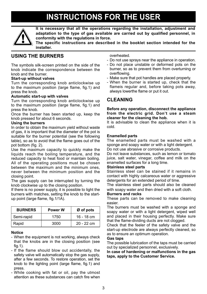# **INSTRUCTIONS FOR THE USER**



**It is necessary that all the operations regarding the installation, adjustment and adaptation to the type of gas available are carried out by qualified personnel, in conformity with the regulations in force.**

**The specific instructions are described in the booklet section intended for the installer.**

### **USING THE BURNERS**

The symbols silk-screen printed on the side of the knob indicate the correspondence between the knob and the burner.

#### **Start-up without valves**

Turn the corresponding knob anticlockwise up to the maximum position (large flame, fig.1) and press the knob.

#### **Automatic start-up with valves**

Turn the corresponding knob anticlockwise up to the maximum position (large flame, fig.1) and press the knob.

Once the burner has been started up, keep the knob pressed for about 6 seconds.

#### **Using the burners**

In order to obtain the maximum yield without waste of gas, it is important that the diameter of the pot is suitable for the burner potential (see the following table), so as to avoid that the flame goes out of the pot bottom (fig. 2).

Use the maximum capacity to quickly make the liquids reach the boiling temperature, and the reduced capacity to heat food or maintain boiling. All of the operating positions must be chosen between the maximum and the minimum ones, never between the minimum position and the closing point.

The gas supply can be interrupted by turning the knob clockwise up to the closing position.

If there is no power supply, it is possible to light the burners with matches, setting the knob to the startup point (large flame, fig.1/1A).

| <b>BURNERS</b> | Power W | Ø of pots    |  |  |
|----------------|---------|--------------|--|--|
| Semi-rapid     | 1750    | $16 - 18$ cm |  |  |
| Rapid          | 3000    | $20 - 22$ cm |  |  |

#### **Notice**

- When the equipment is not working, always check that the knobs are in the closing position (see fig.1).
- If the flame should blow out accidentally, the safety valve will automatically stop the gas supply, after a few seconds. To restore operation, set the knob to the lighting point (large flame, fig.1) and press.
- While cooking with fat or oil, pay the utmost attention as these substances can catch fire when

overheated.

- Do not use sprays near the appliance in operation.
- Do not place unstable or deformed pots on the burner, so as to prevent them from overturning or overflowing.
- Make sure that pot handles are placed properly.
- When the burner is started up, check that the flameis regular and, before taking pots away, always lowerthe flame or put it out.

### **CLEANING**

#### **Before any operation, disconnect the appliance from the electric grid. Don't use a steam cleaner for the cleaning the hob.**

It is advisable to clean the appliance when it is cold.

#### **Enamelled parts**

The enamelled parts must be washed with a sponge and soapy water or with a light detergent. Do not use abrasive or corrosive products.

Do not leave substances, such as lemon or tomato juice, salt water, vinegar, coffee and milk on the enamelled surfaces for a long time.

#### **Stainless steel parts**

Stainless steel can be stained if it remains in contact with highly calcareous water or aggressive detergents for an extended period of time.

The stainless steel parts should also be cleaned with soapy water and then dried with a soft cloth.

#### **Burners and racks**

These parts can be removed to make cleaning easier.

The burners must be washed with a sponge and soapy water or with a light detergent, wiped well and placed in their housing perfectly. Make sure that the flame-dividing ducts are not clogged.

Check that the feeler of the safety valve and the start-up electrode are always perfectly cleaned, so as to ensure an optimum operation.

#### **Gas taps**

The possible lubrication of the taps must be carried out by specialized personnel, exclusively.

**In case of hardening or malfunctions in the gas taps, apply to the Customer Service.**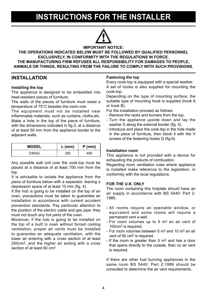## **INSTRUCTIONS FOR THE INSTALLER**



#### **IMPORTANT NOTICE: THE OPERATIONS INDICATED BELOW MUST BE FOLLOWED BY QUALIFIED PERSONNEL EXCLUSIVELY, IN CONFORMITY WITH THE REGULATIONS IN FORCE. THE MANUFACTURING FIRM REFUSES ALL RESPONSIBILITY FOR DAMAGES TO PEOPLE, ANIMALS OR THINGS, RESULTING FROM THE FAILURE TO COMPLY WITH SUCH PROVISIONS.**

### **INSTALLATION**

#### **Installing the top**

The appliance is designed to be embedded into heat-resistant pieces of furniture.

The walls of the pieces of furniture must resist a temperature of 75°C besides the room one.

The equipment must not be installed near inflammable materials, such as curtains, cloths,etc. Make a hole in the top of the piece of furniture, with the dimensions indicated in fig. 3, at a distance of at least 50 mm from the appliance border to the adjacent walls.

| <b>MODEL</b> | $L$ (mm) | $P$ (mm) |  |
|--------------|----------|----------|--|
| C993G        | 350      | 495      |  |

Any possible wall unit over the cook-top must be placed at a distance of at least 700 mm from the top.

It is advisable to isolate the appliance from the piece of furniture below with a separator, leaving a depression space of at least 10 mm (fig. 4).

If the hob is going to be installed on the top of an oven, precautions must be taken to guarantee an installation in accordance with current accident prevention standards. Pay particular attention to the position of the electric cable and gas pipe: they must not touch any hot parts of the oven.

Moreover, if the hob is going to be installed on the top of a built in oven without forced cooling ventilation, proper air vents must be installed to guarantee an adequate ventilation, with the lower air entering with a cross section of at least 200cm2, and the higher air exiting with a cross section of at least 60 cm2.

#### **Fastening the top**

Every cook-top is equipped with a special washer. A set of hooks is also supplied for mounting the cook-top.

Depending on the type of mounting surface, the suitable type of mounting hook is supplied (hook A or hook B).

For the installation proceed as follows:

- Remove the racks and burners from the top.
- Turn the appliance upside down and lay the washer S along the external border (fig. 5).
- Introduce and place the cook-top in the hole made in the piece of furniture, then block it with the V screws of the fastening hooks G (fig.6).

#### **Installation room**

This appliance is not provided with a device for exhausting the products of combustion.

Regarding room ventilation rules where appliance is installed make reference to the legislation, in conformity with the local regulations.

#### **FOR THE U.K. ONLY**

The room containing this hotplate should have an air supply in accordance with BS 5440: Part 2: 1989.

- All rooms require an openable window, or equivalent and some rooms will require a permanent vent a well.
- For room volumes up to 5  $m<sup>3</sup>$  an air vent of 100cm2 is required.
- For room volumes between 5  $\text{m}^3$  and 10  $\text{m}^3$  an air vent of 50 cm2 is required.
- If the room is greater than  $5 \text{ m}^3$  and has a door that opens directly to the outside, then no air vent is required.

If there are other fuel burning appliances in the same room BS 5440: Part 2:1989 should be consulted to determine the air vent requirements.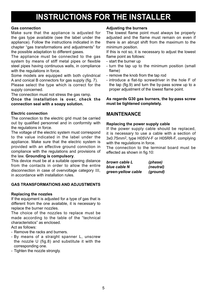## **INSTRUCTIONS FOR THE INSTALLER**

#### **Gas connection**

Make sure that the appliance is adjusted for the gas type available (see the label under the appliance). Follow the instructions indicated in the chapter "gas transformations and adjustments" for the possible adaptation to different gases.

The appliance must be connected to the gas system by means of stiff metal pipes or flexible steel pipes having continuous walls, in compliance with the regulations in force.

Some models are equipped with both cylindrical A and conical B connectors for gas supply (fig. 7).

Please select the type which is correct for the supply concerned.

The connection must not stress the gas ramp.

**Once the installation is over, check the connection seal with a soapy solution.** 

#### **Electric connection**

The connection to the electric grid must be carried out by qualified personnel and in conformity with the regulations in force.

The voltage of the electric system must correspond to the value indicated in the label under the appliance. Make sure that the electric system is provided with an effective ground connction in compliance with the regulations and provisions of the law. **Grounding is compulsory**.

This device must be at a suitable opening distance from the contacts in order to allow the entire disconnection in case of overvoltage category III, in accordance with installation rules.

### **GAS TRANSFORMATIONS AND ADJUSTMENTS**

#### **Replacing the nozzles**

If the equipment is adjusted for a type of gas that is different from the one available, it is necessary to replace the burner nozzles.

The choice of the nozzles to replace must be made according to the table of the "technical characteristics" as enclosed.

Act as follows:

- Remove the racks and burners.
- By means of a straight spanner L, unscrew the nozzle U (fig.8) and substitute it with the corresponding one.
- Tighten the nozzle strongly.

#### **Adjusting the burners**

The lowest flame point must always be properly adjusted and the flame must remain on even if there is an abrupt shift from the maximum to the minimum position.

If this is not so, it is necessary to adjust the lowest flame point as follows:

- start the burner up
- turn the tap up to the minimum position (small flame)
- remove the knob from the tap rod
- introduce a flat-tip screwdriver in the hole F of the tap (fig.9) and turn the by-pass screw up to a proper adjustment of the lowest flame point.

#### **As regards G30 gas burners, the by-pass screw must be tightened completely.**

### **MAINTENANCE**

#### **Replacing the power supply cable**

If the power supply cable should be replaced, it is necessary to use a cable with a section of 3x0.75mm2, type H05VV-F or H05RR-F, complying with the regulations in force.

The connection to the terminal board must be effected as shown in fig.10:

| brown cable L      | (phase)   |
|--------------------|-----------|
| blue cable N       | (neutral) |
| green-yellow cable | (ground)  |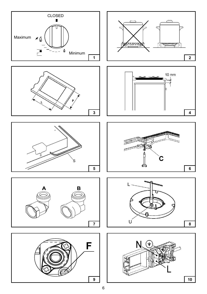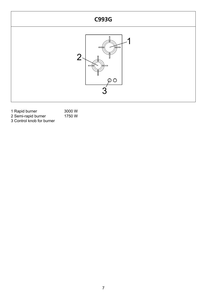

| 1 Rapid burner            | 3000 W |
|---------------------------|--------|
| 2 Semi-rapid burner       | 1750 W |
| 3 Control knob for burner |        |

7